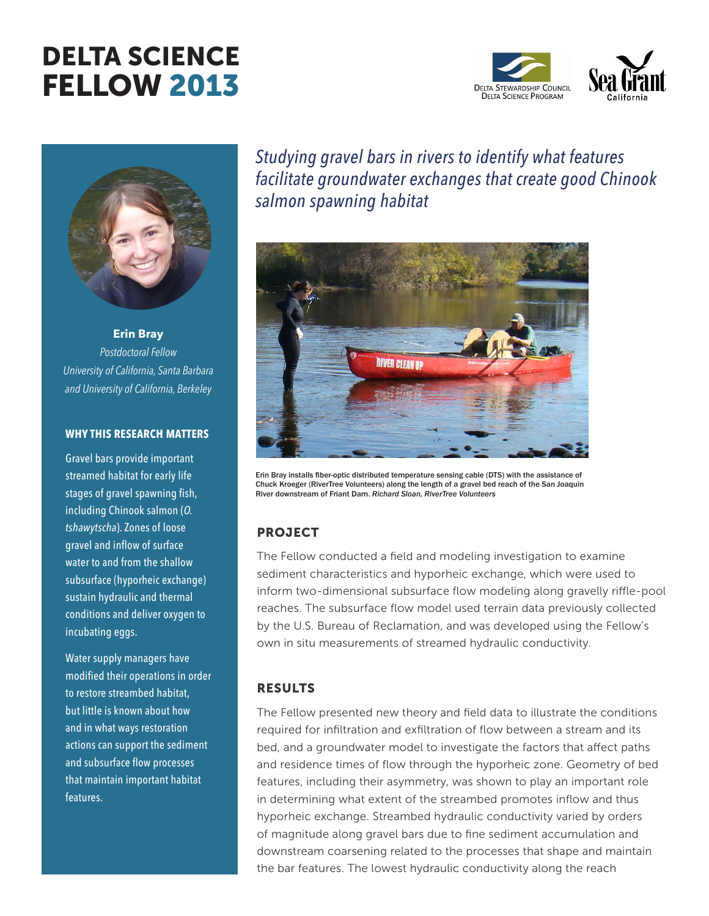# DELTA SCIENCE FELLOW 2013





**Erin Bray** *Postdoctoral Fellow University of California, Santa Barbara and University of California, Berkeley*

#### **WHY THIS RESEARCH MATTERS**

Gravel bars provide important streamed habitat for early life stages of gravel spawning fish, including Chinook salmon (*O. tshawytscha*). Zones of loose gravel and inflow of surface water to and from the shallow subsurface (hyporheic exchange) sustain hydraulic and thermal conditions and deliver oxygen to incubating eggs.

Water supply managers have modified their operations in order to restore streambed habitat, but little is known about how and in what ways restoration actions can support the sediment and subsurface flow processes that maintain important habitat features.

*Studying gravel bars in rivers to identify what features facilitate groundwater exchanges that create good Chinook salmon spawning habitat*



Erin Bray installs fiber-optic distributed temperature sensing cable (DTS) with the assistance of Chuck Kroeger (RiverTree Volunteers) along the length of a gravel bed reach of the San Joaquin River downstream of Friant Dam. *Richard Sloan, RiverTree Volunteers*

## PROJECT

The Fellow conducted a field and modeling investigation to examine sediment characteristics and hyporheic exchange, which were used to inform two-dimensional subsurface flow modeling along gravelly riffle-pool reaches. The subsurface flow model used terrain data previously collected by the U.S. Bureau of Reclamation, and was developed using the Fellow's own in situ measurements of streamed hydraulic conductivity.

### RESULTS

The Fellow presented new theory and field data to illustrate the conditions required for infiltration and exfiltration of flow between a stream and its bed, and a groundwater model to investigate the factors that affect paths and residence times of flow through the hyporheic zone. Geometry of bed features, including their asymmetry, was shown to play an important role in determining what extent of the streambed promotes inflow and thus hyporheic exchange. Streambed hydraulic conductivity varied by orders of magnitude along gravel bars due to fine sediment accumulation and downstream coarsening related to the processes that shape and maintain the bar features. The lowest hydraulic conductivity along the reach